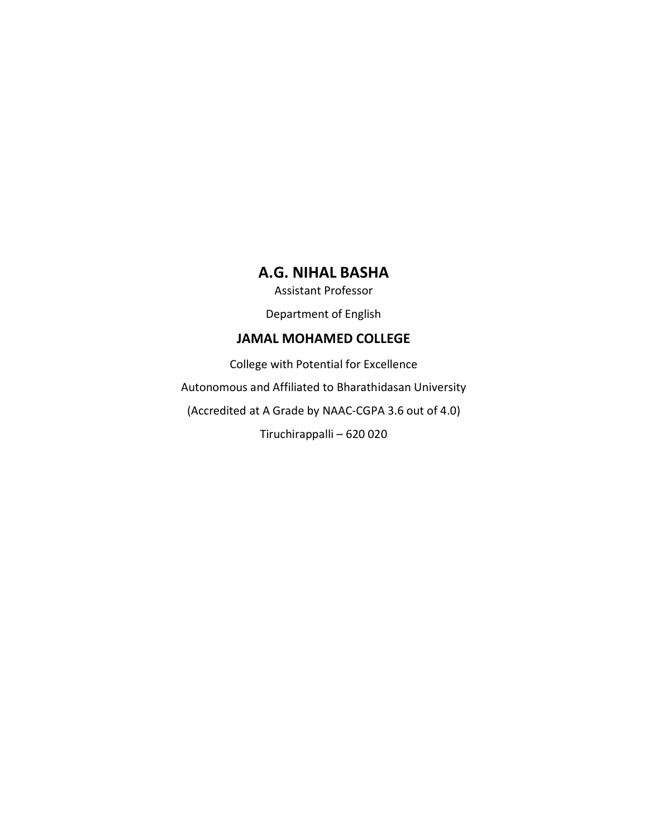## **A.G. NIHAL BASHA**

Assistant Professor

Department of English

#### **JAMAL MOHAMED COLLEGE**

College with Potential for Excellence Autonomous and Affiliated to Bharathidasan University (Accredited at A Grade by NAAC-CGPA 3.6 out of 4.0) Tiruchirappalli – 620 020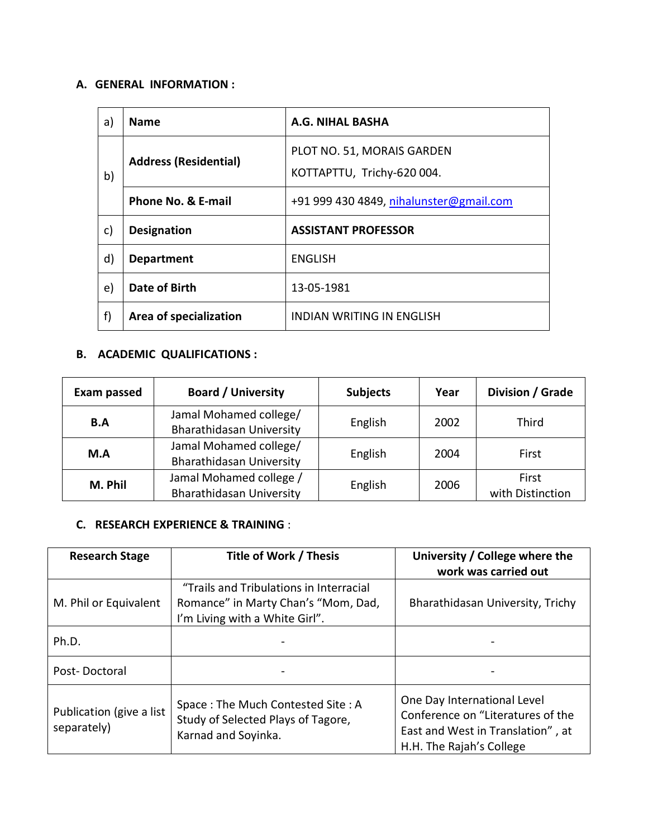#### **A. GENERAL INFORMATION :**

| a)           | <b>Name</b>                  | <b>A.G. NIHAL BASHA</b>                                  |
|--------------|------------------------------|----------------------------------------------------------|
| b)           | <b>Address (Residential)</b> | PLOT NO. 51, MORAIS GARDEN<br>KOTTAPTTU, Trichy-620 004. |
|              | Phone No. & E-mail           | +91 999 430 4849, nihalunster@gmail.com                  |
| c)           | <b>Designation</b>           | <b>ASSISTANT PROFESSOR</b>                               |
| $\mathsf{d}$ | <b>Department</b>            | <b>ENGLISH</b>                                           |
| e)           | Date of Birth                | 13-05-1981                                               |
| f)           | Area of specialization       | <b>INDIAN WRITING IN ENGLISH</b>                         |

### **B. ACADEMIC QUALIFICATIONS :**

| <b>Board / University</b><br><b>Exam passed</b>                  |                                                            | <b>Subjects</b> | Year | Division / Grade          |
|------------------------------------------------------------------|------------------------------------------------------------|-----------------|------|---------------------------|
| Jamal Mohamed college/<br>B.A<br><b>Bharathidasan University</b> |                                                            | English         | 2002 | Third                     |
| M.A                                                              | Jamal Mohamed college/<br><b>Bharathidasan University</b>  | English         | 2004 | First                     |
| M. Phil                                                          | Jamal Mohamed college /<br><b>Bharathidasan University</b> | English         | 2006 | First<br>with Distinction |

#### **C. RESEARCH EXPERIENCE & TRAINING** :

| <b>Research Stage</b>                   | Title of Work / Thesis                                                                                           | University / College where the<br>work was carried out                                                                            |
|-----------------------------------------|------------------------------------------------------------------------------------------------------------------|-----------------------------------------------------------------------------------------------------------------------------------|
| M. Phil or Equivalent                   | "Trails and Tribulations in Interracial<br>Romance" in Marty Chan's "Mom, Dad,<br>I'm Living with a White Girl". | Bharathidasan University, Trichy                                                                                                  |
| Ph.D.                                   |                                                                                                                  |                                                                                                                                   |
| Post-Doctoral                           |                                                                                                                  |                                                                                                                                   |
| Publication (give a list<br>separately) | Space: The Much Contested Site: A<br>Study of Selected Plays of Tagore,<br>Karnad and Soyinka.                   | One Day International Level<br>Conference on "Literatures of the<br>East and West in Translation", at<br>H.H. The Rajah's College |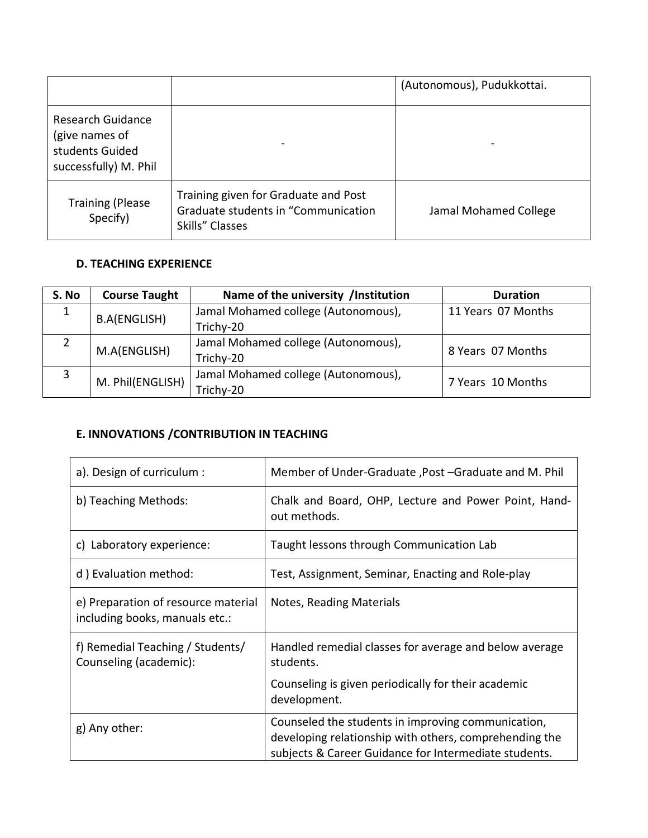|                                                                                 |                                                                                                | (Autonomous), Pudukkottai. |
|---------------------------------------------------------------------------------|------------------------------------------------------------------------------------------------|----------------------------|
| Research Guidance<br>(give names of<br>students Guided<br>successfully) M. Phil | $\qquad \qquad$                                                                                |                            |
| <b>Training (Please</b><br>Specify)                                             | Training given for Graduate and Post<br>Graduate students in "Communication<br>Skills" Classes | Jamal Mohamed College      |

#### **D. TEACHING EXPERIENCE**

| S. No | <b>Course Taught</b> | Name of the university /Institution | <b>Duration</b>    |
|-------|----------------------|-------------------------------------|--------------------|
|       | <b>B.A(ENGLISH)</b>  | Jamal Mohamed college (Autonomous), | 11 Years 07 Months |
|       |                      | Trichy-20                           |                    |
|       | M.A(ENGLISH)         | Jamal Mohamed college (Autonomous), | 8 Years 07 Months  |
|       |                      | Trichy-20                           |                    |
|       | M. Phil(ENGLISH)     | Jamal Mohamed college (Autonomous), | 7 Years 10 Months  |
|       |                      | Trichy-20                           |                    |

## **E. INNOVATIONS /CONTRIBUTION IN TEACHING**

| a). Design of curriculum :                                            | Member of Under-Graduate, Post -Graduate and M. Phil                                                                                                                  |  |
|-----------------------------------------------------------------------|-----------------------------------------------------------------------------------------------------------------------------------------------------------------------|--|
| b) Teaching Methods:                                                  | Chalk and Board, OHP, Lecture and Power Point, Hand-<br>out methods.                                                                                                  |  |
| c) Laboratory experience:                                             | Taught lessons through Communication Lab                                                                                                                              |  |
| d) Evaluation method:                                                 | Test, Assignment, Seminar, Enacting and Role-play                                                                                                                     |  |
| e) Preparation of resource material<br>including books, manuals etc.: | Notes, Reading Materials                                                                                                                                              |  |
| f) Remedial Teaching / Students/<br>Counseling (academic):            | Handled remedial classes for average and below average<br>students.<br>Counseling is given periodically for their academic                                            |  |
|                                                                       | development.                                                                                                                                                          |  |
| g) Any other:                                                         | Counseled the students in improving communication,<br>developing relationship with others, comprehending the<br>subjects & Career Guidance for Intermediate students. |  |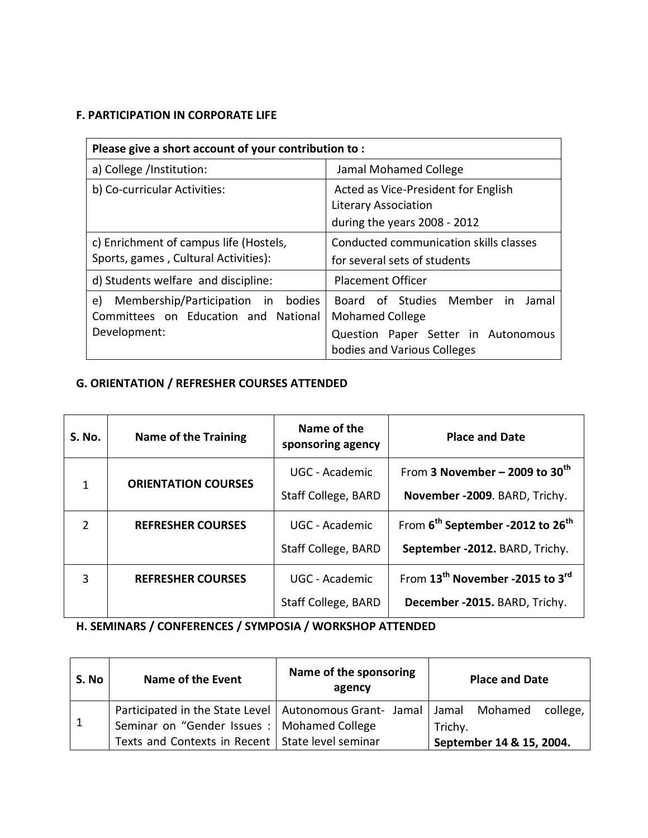### **F. PARTICIPATION IN CORPORATE LIFE**

| Please give a short account of your contribution to:                             |                                                                                             |  |  |
|----------------------------------------------------------------------------------|---------------------------------------------------------------------------------------------|--|--|
| a) College /Institution:                                                         | Jamal Mohamed College                                                                       |  |  |
| b) Co-curricular Activities:                                                     | Acted as Vice-President for English<br>Literary Association<br>during the years 2008 - 2012 |  |  |
| c) Enrichment of campus life (Hostels,<br>Sports, games, Cultural Activities):   | Conducted communication skills classes<br>for several sets of students                      |  |  |
| d) Students welfare and discipline:                                              | <b>Placement Officer</b>                                                                    |  |  |
| Membership/Participation in bodies<br>e)<br>Committees on Education and National | Board of Studies Member in<br>Jamal<br><b>Mohamed College</b>                               |  |  |
| Development:                                                                     | Question Paper Setter in Autonomous<br>bodies and Various Colleges                          |  |  |

## **G. ORIENTATION / REFRESHER COURSES ATTENDED**

| <b>S. No.</b> | <b>Name of the Training</b> | Name of the<br>sponsoring agency | <b>Place and Date</b>                                    |
|---------------|-----------------------------|----------------------------------|----------------------------------------------------------|
| $\mathbf{1}$  | <b>ORIENTATION COURSES</b>  | UGC - Academic                   | From 3 November – 2009 to $30th$                         |
|               |                             | Staff College, BARD              | November -2009. BARD, Trichy.                            |
| $\mathcal{P}$ | <b>REFRESHER COURSES</b>    | UGC - Academic                   | From 6 <sup>th</sup> September -2012 to 26 <sup>th</sup> |
|               |                             | Staff College, BARD              | September -2012. BARD, Trichy.                           |
| 3             | <b>REFRESHER COURSES</b>    | UGC - Academic                   | From 13 <sup>th</sup> November -2015 to 3 <sup>rd</sup>  |
|               |                             | Staff College, BARD              | December -2015. BARD, Trichy.                            |

# **H. SEMINARS / CONFERENCES / SYMPOSIA / WORKSHOP ATTENDED**

| S. No | Name of the Event                                                         | Name of the sponsoring<br>agency | <b>Place and Date</b>    |
|-------|---------------------------------------------------------------------------|----------------------------------|--------------------------|
|       | Participated in the State Level   Autonomous Grant- Jamal   Jamal Mohamed |                                  | college,                 |
|       | Seminar on "Gender Issues :   Mohamed College                             |                                  | Trichy.                  |
|       | Texts and Contexts in Recent   State level seminar                        |                                  | September 14 & 15, 2004. |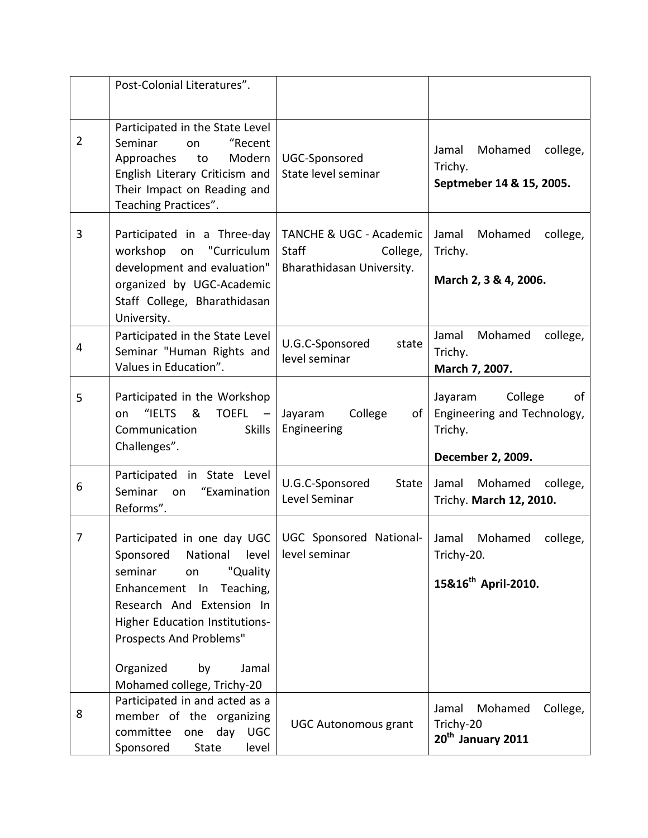|                | Post-Colonial Literatures".                                                                                                                                                                                                                                                   |                                                                                             |                                                                                         |
|----------------|-------------------------------------------------------------------------------------------------------------------------------------------------------------------------------------------------------------------------------------------------------------------------------|---------------------------------------------------------------------------------------------|-----------------------------------------------------------------------------------------|
| $\overline{2}$ | Participated in the State Level<br>"Recent<br>Seminar<br>on<br>Modern<br>Approaches<br>to<br>English Literary Criticism and<br>Their Impact on Reading and<br>Teaching Practices".                                                                                            | UGC-Sponsored<br>State level seminar                                                        | Mohamed<br>Jamal<br>college,<br>Trichy.<br>Septmeber 14 & 15, 2005.                     |
| 3              | Participated in a Three-day<br>workshop on "Curriculum<br>development and evaluation"<br>organized by UGC-Academic<br>Staff College, Bharathidasan<br>University.                                                                                                             | <b>TANCHE &amp; UGC - Academic</b><br><b>Staff</b><br>College,<br>Bharathidasan University. | Jamal<br>Mohamed<br>college,<br>Trichy.<br>March 2, 3 & 4, 2006.                        |
| 4              | Participated in the State Level<br>Seminar "Human Rights and<br>Values in Education".                                                                                                                                                                                         | U.G.C-Sponsored<br>state<br>level seminar                                                   | Jamal<br>Mohamed<br>college,<br>Trichy.<br>March 7, 2007.                               |
| 5              | Participated in the Workshop<br>"IELTS<br>&<br><b>TOEFL</b><br>on<br><b>Skills</b><br>Communication<br>Challenges".                                                                                                                                                           | College<br>Jayaram<br>of<br>Engineering                                                     | of<br>College<br>Jayaram<br>Engineering and Technology,<br>Trichy.<br>December 2, 2009. |
| 6              | Participated in State Level<br>"Examination<br>Seminar<br>on<br>Reforms".                                                                                                                                                                                                     | U.G.C-Sponsored<br><b>State</b><br>Level Seminar                                            | Mohamed<br>Jamal<br>college,<br>Trichy. March 12, 2010.                                 |
| 7              | Participated in one day UGC<br>Sponsored<br>level<br>National<br>"Quality<br>seminar<br>on<br>Enhancement In<br>Teaching,<br>Research And Extension In<br>Higher Education Institutions-<br>Prospects And Problems"<br>Organized<br>by<br>Jamal<br>Mohamed college, Trichy-20 | UGC Sponsored National-<br>level seminar                                                    | Jamal<br>Mohamed<br>college,<br>Trichy-20.<br>15&16 <sup>th</sup> April-2010.           |
| 8              | Participated in and acted as a<br>member of the organizing<br>committee<br>day<br><b>UGC</b><br>one<br>Sponsored<br>State<br>level                                                                                                                                            | <b>UGC Autonomous grant</b>                                                                 | College,<br>Jamal<br>Mohamed<br>Trichy-20<br>20 <sup>th</sup> January 2011              |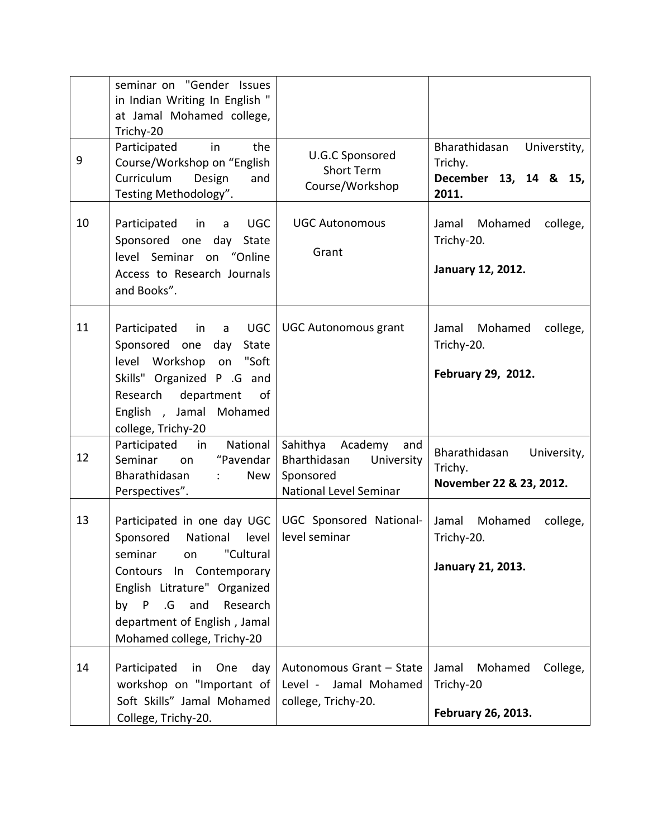|    | seminar on "Gender Issues<br>in Indian Writing In English "<br>at Jamal Mohamed college,<br>Trichy-20                                                                                                                                                   |                                                                                                 |                                                                            |
|----|---------------------------------------------------------------------------------------------------------------------------------------------------------------------------------------------------------------------------------------------------------|-------------------------------------------------------------------------------------------------|----------------------------------------------------------------------------|
| 9  | Participated<br>in<br>the<br>Course/Workshop on "English<br>Curriculum<br>Design<br>and<br>Testing Methodology".                                                                                                                                        | U.G.C Sponsored<br><b>Short Term</b><br>Course/Workshop                                         | Bharathidasan<br>Universtity,<br>Trichy.<br>December 13, 14 & 15,<br>2011. |
| 10 | Participated<br><b>UGC</b><br>in<br>a<br>Sponsored one day State<br>level Seminar on "Online<br>Access to Research Journals<br>and Books".                                                                                                              | <b>UGC Autonomous</b><br>Grant                                                                  | Mohamed<br>college,<br>Jamal<br>Trichy-20.<br>January 12, 2012.            |
| 11 | <b>UGC</b><br>Participated<br>$\mathsf{in}$<br>a<br>Sponsored one<br>day<br>State<br>level Workshop<br>on "Soft<br>Skills" Organized P .G and<br>department<br>Research<br>0f<br>English, Jamal Mohamed<br>college, Trichy-20                           | <b>UGC Autonomous grant</b>                                                                     | Mohamed<br>Jamal<br>college,<br>Trichy-20.<br>February 29, 2012.           |
| 12 | Participated<br>National<br>in<br>Seminar<br>"Pavendar<br>on<br>Bharathidasan<br>New<br>$\mathcal{I}^{\mathcal{I}}$ .<br>Perspectives".                                                                                                                 | Sahithya<br>Academy<br>and<br>Bharthidasan<br>University<br>Sponsored<br>National Level Seminar | Bharathidasan<br>University,<br>Trichy.<br>November 22 & 23, 2012.         |
| 13 | Participated in one day UGC<br>Sponsored<br>National level<br>"Cultural<br>seminar<br>on<br>Contours In Contemporary<br>English Litrature" Organized<br>.G.<br>and<br>Research<br>by<br>P<br>department of English, Jamal<br>Mohamed college, Trichy-20 | UGC Sponsored National-<br>level seminar                                                        | Mohamed<br>Jamal<br>college,<br>Trichy-20.<br>January 21, 2013.            |
| 14 | Participated<br>day<br>in<br>One<br>workshop on "Important of<br>Soft Skills" Jamal Mohamed<br>College, Trichy-20.                                                                                                                                      | Autonomous Grant - State<br>Level - Jamal Mohamed<br>college, Trichy-20.                        | Mohamed<br>College,<br>Jamal<br>Trichy-20<br>February 26, 2013.            |